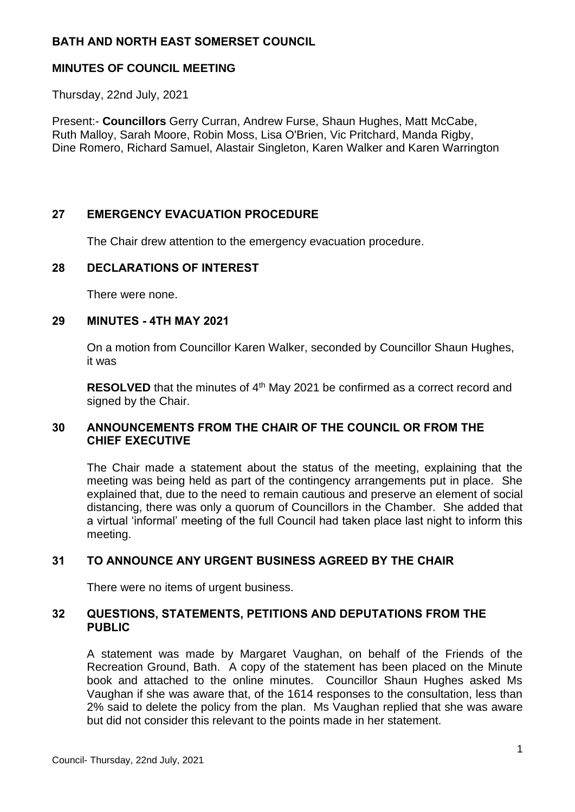## **BATH AND NORTH EAST SOMERSET COUNCIL**

## **MINUTES OF COUNCIL MEETING**

Thursday, 22nd July, 2021

Present:- **Councillors** Gerry Curran, Andrew Furse, Shaun Hughes, Matt McCabe, Ruth Malloy, Sarah Moore, Robin Moss, Lisa O'Brien, Vic Pritchard, Manda Rigby, Dine Romero, Richard Samuel, Alastair Singleton, Karen Walker and Karen Warrington

# **27 EMERGENCY EVACUATION PROCEDURE**

The Chair drew attention to the emergency evacuation procedure.

### **28 DECLARATIONS OF INTEREST**

There were none.

### **29 MINUTES - 4TH MAY 2021**

On a motion from Councillor Karen Walker, seconded by Councillor Shaun Hughes, it was

**RESOLVED** that the minutes of 4<sup>th</sup> May 2021 be confirmed as a correct record and signed by the Chair.

## **30 ANNOUNCEMENTS FROM THE CHAIR OF THE COUNCIL OR FROM THE CHIEF EXECUTIVE**

The Chair made a statement about the status of the meeting, explaining that the meeting was being held as part of the contingency arrangements put in place. She explained that, due to the need to remain cautious and preserve an element of social distancing, there was only a quorum of Councillors in the Chamber. She added that a virtual 'informal' meeting of the full Council had taken place last night to inform this meeting.

## **31 TO ANNOUNCE ANY URGENT BUSINESS AGREED BY THE CHAIR**

There were no items of urgent business.

### **32 QUESTIONS, STATEMENTS, PETITIONS AND DEPUTATIONS FROM THE PUBLIC**

A statement was made by Margaret Vaughan, on behalf of the Friends of the Recreation Ground, Bath. A copy of the statement has been placed on the Minute book and attached to the online minutes. Councillor Shaun Hughes asked Ms Vaughan if she was aware that, of the 1614 responses to the consultation, less than 2% said to delete the policy from the plan. Ms Vaughan replied that she was aware but did not consider this relevant to the points made in her statement.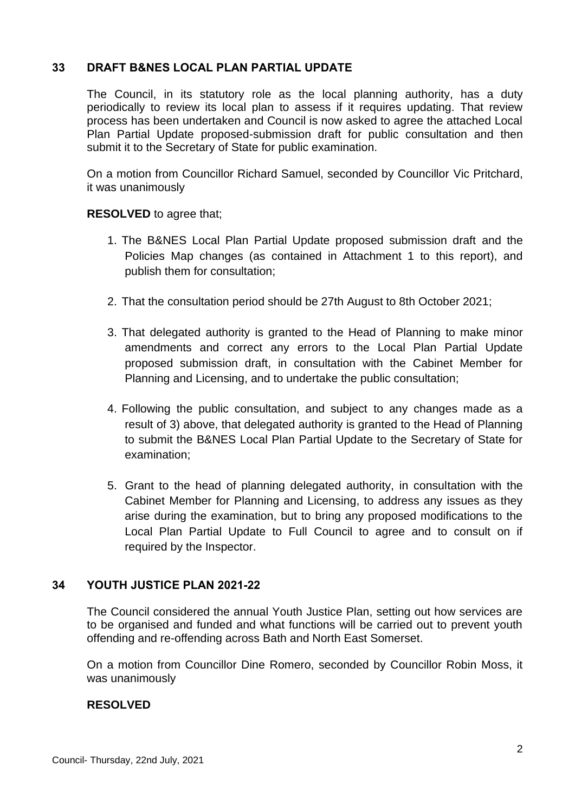# **33 DRAFT B&NES LOCAL PLAN PARTIAL UPDATE**

The Council, in its statutory role as the local planning authority, has a duty periodically to review its local plan to assess if it requires updating. That review process has been undertaken and Council is now asked to agree the attached Local Plan Partial Update proposed-submission draft for public consultation and then submit it to the Secretary of State for public examination.

On a motion from Councillor Richard Samuel, seconded by Councillor Vic Pritchard, it was unanimously

## **RESOLVED** to agree that;

- 1. The B&NES Local Plan Partial Update proposed submission draft and the Policies Map changes (as contained in Attachment 1 to this report), and publish them for consultation;
- 2. That the consultation period should be 27th August to 8th October 2021;
- 3. That delegated authority is granted to the Head of Planning to make minor amendments and correct any errors to the Local Plan Partial Update proposed submission draft, in consultation with the Cabinet Member for Planning and Licensing, and to undertake the public consultation;
- 4. Following the public consultation, and subject to any changes made as a result of 3) above, that delegated authority is granted to the Head of Planning to submit the B&NES Local Plan Partial Update to the Secretary of State for examination;
- 5. Grant to the head of planning delegated authority, in consultation with the Cabinet Member for Planning and Licensing, to address any issues as they arise during the examination, but to bring any proposed modifications to the Local Plan Partial Update to Full Council to agree and to consult on if required by the Inspector.

## **34 YOUTH JUSTICE PLAN 2021-22**

The Council considered the annual Youth Justice Plan, setting out how services are to be organised and funded and what functions will be carried out to prevent youth offending and re-offending across Bath and North East Somerset.

On a motion from Councillor Dine Romero, seconded by Councillor Robin Moss, it was unanimously

#### **RESOLVED**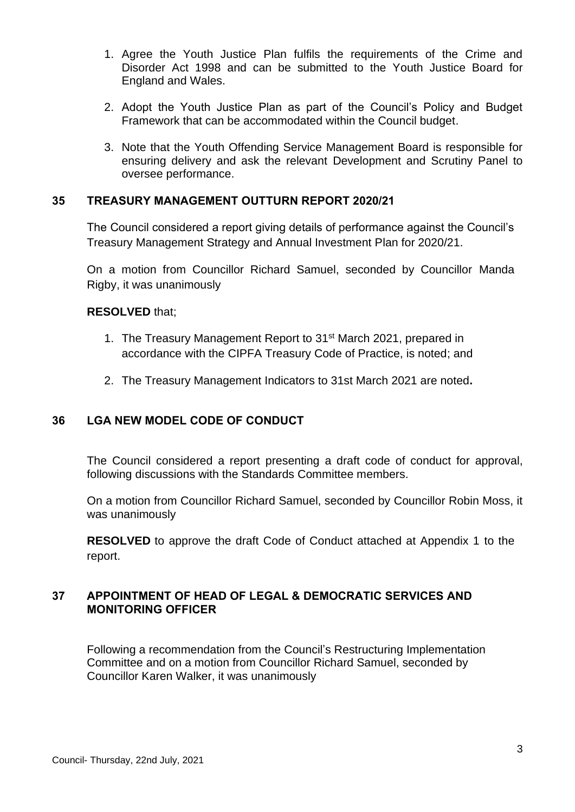- 1. Agree the Youth Justice Plan fulfils the requirements of the Crime and Disorder Act 1998 and can be submitted to the Youth Justice Board for England and Wales.
- 2. Adopt the Youth Justice Plan as part of the Council's Policy and Budget Framework that can be accommodated within the Council budget.
- 3. Note that the Youth Offending Service Management Board is responsible for ensuring delivery and ask the relevant Development and Scrutiny Panel to oversee performance.

### **35 TREASURY MANAGEMENT OUTTURN REPORT 2020/21**

The Council considered a report giving details of performance against the Council's Treasury Management Strategy and Annual Investment Plan for 2020/21.

On a motion from Councillor Richard Samuel, seconded by Councillor Manda Rigby, it was unanimously

### **RESOLVED** that;

- 1. The Treasury Management Report to 31<sup>st</sup> March 2021, prepared in accordance with the CIPFA Treasury Code of Practice, is noted; and
- 2. The Treasury Management Indicators to 31st March 2021 are noted**.**

## **36 LGA NEW MODEL CODE OF CONDUCT**

The Council considered a report presenting a draft code of conduct for approval, following discussions with the Standards Committee members.

On a motion from Councillor Richard Samuel, seconded by Councillor Robin Moss, it was unanimously

**RESOLVED** to approve the draft Code of Conduct attached at Appendix 1 to the report.

## **37 APPOINTMENT OF HEAD OF LEGAL & DEMOCRATIC SERVICES AND MONITORING OFFICER**

Following a recommendation from the Council's Restructuring Implementation Committee and on a motion from Councillor Richard Samuel, seconded by Councillor Karen Walker, it was unanimously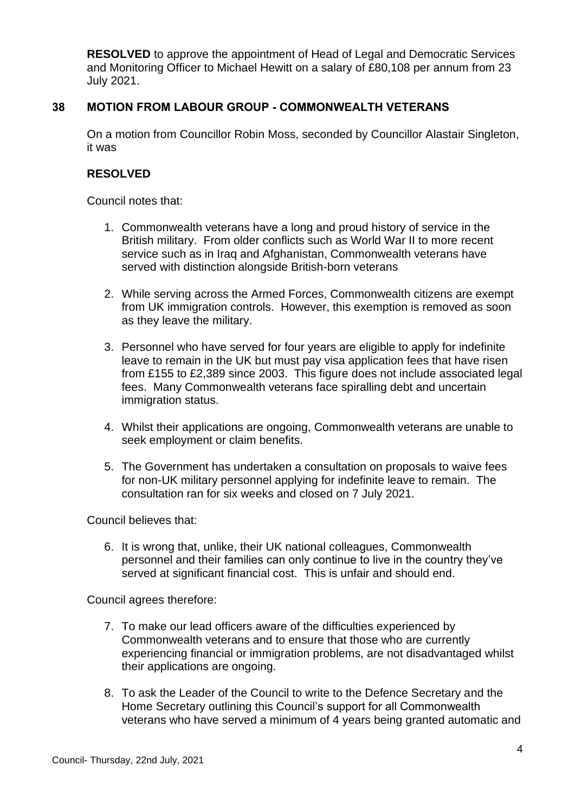**RESOLVED** to approve the appointment of Head of Legal and Democratic Services and Monitoring Officer to Michael Hewitt on a salary of £80,108 per annum from 23 July 2021.

## **38 MOTION FROM LABOUR GROUP - COMMONWEALTH VETERANS**

On a motion from Councillor Robin Moss, seconded by Councillor Alastair Singleton, it was

## **RESOLVED**

Council notes that:

- 1. Commonwealth veterans have a long and proud history of service in the British military. From older conflicts such as World War II to more recent service such as in Iraq and Afghanistan, Commonwealth veterans have served with distinction alongside British-born veterans
- 2. While serving across the Armed Forces, Commonwealth citizens are exempt from UK immigration controls. However, this exemption is removed as soon as they leave the military.
- 3. Personnel who have served for four years are eligible to apply for indefinite leave to remain in the UK but must pay visa application fees that have risen from £155 to £2,389 since 2003. This figure does not include associated legal fees. Many Commonwealth veterans face spiralling debt and uncertain immigration status.
- 4. Whilst their applications are ongoing, Commonwealth veterans are unable to seek employment or claim benefits.
- 5. The Government has undertaken a consultation on proposals to waive fees for non-UK military personnel applying for indefinite leave to remain. The consultation ran for six weeks and closed on 7 July 2021.

Council believes that:

6. It is wrong that, unlike, their UK national colleagues, Commonwealth personnel and their families can only continue to live in the country they've served at significant financial cost. This is unfair and should end.

Council agrees therefore:

- 7. To make our lead officers aware of the difficulties experienced by Commonwealth veterans and to ensure that those who are currently experiencing financial or immigration problems, are not disadvantaged whilst their applications are ongoing.
- 8. To ask the Leader of the Council to write to the Defence Secretary and the Home Secretary outlining this Council's support for all Commonwealth veterans who have served a minimum of 4 years being granted automatic and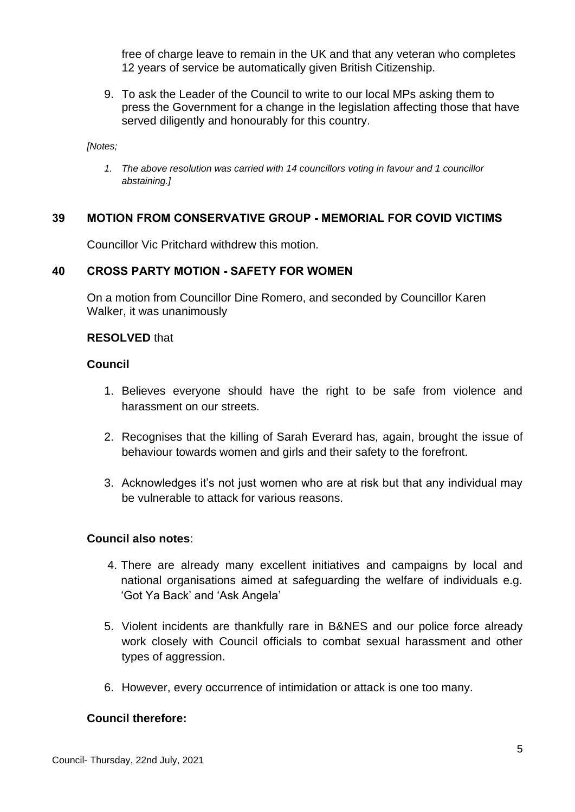free of charge leave to remain in the UK and that any veteran who completes 12 years of service be automatically given British Citizenship.

9. To ask the Leader of the Council to write to our local MPs asking them to press the Government for a change in the legislation affecting those that have served diligently and honourably for this country.

*[Notes;*

*1. The above resolution was carried with 14 councillors voting in favour and 1 councillor abstaining.]*

# **39 MOTION FROM CONSERVATIVE GROUP - MEMORIAL FOR COVID VICTIMS**

Councillor Vic Pritchard withdrew this motion.

# **40 CROSS PARTY MOTION - SAFETY FOR WOMEN**

On a motion from Councillor Dine Romero, and seconded by Councillor Karen Walker, it was unanimously

### **RESOLVED** that

### **Council**

- 1. Believes everyone should have the right to be safe from violence and harassment on our streets.
- 2. Recognises that the killing of Sarah Everard has, again, brought the issue of behaviour towards women and girls and their safety to the forefront.
- 3. Acknowledges it's not just women who are at risk but that any individual may be vulnerable to attack for various reasons.

## **Council also notes**:

- 4. There are already many excellent initiatives and campaigns by local and national organisations aimed at safeguarding the welfare of individuals e.g. 'Got Ya Back' and 'Ask Angela'
- 5. Violent incidents are thankfully rare in B&NES and our police force already work closely with Council officials to combat sexual harassment and other types of aggression.
- 6. However, every occurrence of intimidation or attack is one too many.

## **Council therefore:**